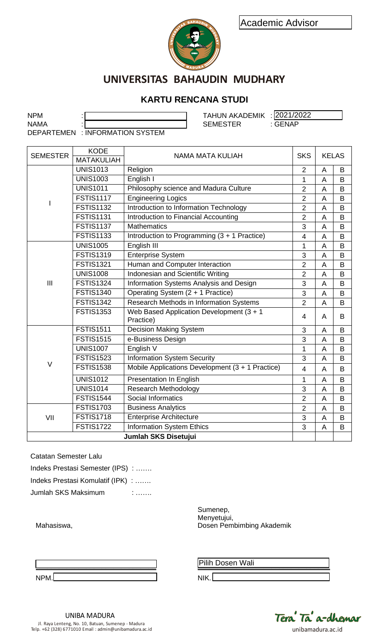



## **KARTU RENCANA STUDI**

|                                                        |                                   | Academic Advisor<br><b>BAHAUD</b>                      |                |                |              |
|--------------------------------------------------------|-----------------------------------|--------------------------------------------------------|----------------|----------------|--------------|
|                                                        |                                   | UNIVERSITAS BAHAUDIN MUDHARY                           |                |                |              |
|                                                        |                                   |                                                        |                |                |              |
|                                                        |                                   | <b>KARTU RENCANA STUDI</b>                             |                |                |              |
| <b>NPM</b>                                             |                                   | TAHUN AKADEMIK : 2021/2022                             |                |                |              |
| <b>NAMA</b>                                            |                                   | <b>SEMESTER</b>                                        | : GENAP        |                |              |
|                                                        | DEPARTEMEN : INFORMATION SYSTEM   |                                                        |                |                |              |
|                                                        |                                   |                                                        |                |                |              |
| <b>SEMESTER</b>                                        | <b>KODE</b><br><b>MATAKULIAH</b>  | <b>NAMA MATA KULIAH</b>                                | <b>SKS</b>     |                | <b>KELAS</b> |
|                                                        | <b>UNIS1013</b>                   | Religion                                               | $\overline{2}$ | A              | B            |
|                                                        | <b>UNIS1003</b>                   | English I                                              | 1              | A              | B            |
|                                                        | <b>UNIS1011</b>                   | Philosophy science and Madura Culture                  | $\overline{2}$ | A              | B            |
|                                                        | <b>FSTIS1117</b>                  | <b>Engineering Logics</b>                              | $\overline{2}$ | A              | B            |
|                                                        | <b>FSTIS1132</b>                  | Introduction to Information Technology                 | $\overline{2}$ | A              | B            |
|                                                        | <b>FSTIS1131</b>                  | Introduction to Financial Accounting                   | $\overline{2}$ | A              | B            |
|                                                        | <b>FSTIS1137</b>                  | <b>Mathematics</b>                                     | 3              | A              | B            |
|                                                        | <b>FSTIS1133</b>                  | Introduction to Programming (3 + 1 Practice)           | $\overline{4}$ | $\overline{A}$ | B            |
|                                                        | <b>UNIS1005</b>                   | English III                                            | 1              | A              | B            |
|                                                        | <b>FSTIS1319</b>                  | <b>Enterprise System</b>                               | 3              | A              | B            |
|                                                        | <b>FSTIS1321</b>                  | Human and Computer Interaction                         | $\overline{2}$ | A              | B            |
|                                                        | <b>UNIS1008</b>                   | Indonesian and Scientific Writing                      | $\overline{2}$ | A              | B            |
| III                                                    | <b>FSTIS1324</b>                  | Information Systems Analysis and Design                | 3              | A              | B            |
|                                                        | <b>FSTIS1340</b>                  | Operating System (2 + 1 Practice)                      | 3              | A              | B            |
|                                                        | <b>FSTIS1342</b>                  | Research Methods in Information Systems                | $\overline{2}$ | A              | B            |
|                                                        | <b>FSTIS1353</b>                  | Web Based Application Development (3 + 1)<br>Practice) | 4              | A              | B            |
|                                                        | <b>FSTIS1511</b>                  | <b>Decision Making System</b>                          | 3              | A              | B            |
|                                                        | <b>FSTIS1515</b>                  | e-Business Design                                      | 3              | A              | B            |
|                                                        | <b>UNIS1007</b>                   | English V                                              | $\mathbf{1}$   | A              | B            |
|                                                        | <b>FSTIS1523</b>                  | <b>Information System Security</b>                     | 3              | A              | B            |
| $\vee$                                                 | <b>FSTIS1538</b>                  | Mobile Applications Development (3 + 1 Practice)       | $\overline{4}$ | A              | B            |
|                                                        | <b>UNIS1012</b>                   | <b>Presentation In English</b>                         | 1              | A              | B            |
|                                                        | <b>UNIS1014</b>                   | <b>Research Methodology</b>                            | $\mathsf 3$    | A              | B            |
|                                                        | <b>FSTIS1544</b>                  | Social Informatics                                     | $\overline{2}$ | A              | B            |
|                                                        | <b>FSTIS1703</b>                  | <b>Business Analytics</b>                              | $\overline{2}$ | A              | B            |
| VII                                                    | <b>FSTIS1718</b>                  | <b>Enterprise Architecture</b>                         | $\mathsf 3$    | A              | B            |
|                                                        | <b>FSTIS1722</b>                  | <b>Information System Ethics</b>                       | 3              | A              | B            |
|                                                        |                                   | Jumlah SKS Disetujui                                   |                |                |              |
|                                                        |                                   |                                                        |                |                |              |
| <b>Catatan Semester Lalu</b>                           |                                   |                                                        |                |                |              |
|                                                        | Indeks Prestasi Semester (IPS) :  |                                                        |                |                |              |
|                                                        |                                   |                                                        |                |                |              |
|                                                        | Indeks Prestasi Komulatif (IPK) : |                                                        |                |                |              |
| Jumlah SKS Maksimum                                    |                                   | t cooloro                                              |                |                |              |
|                                                        |                                   | Sumenep,                                               |                |                |              |
| Menyetujui,<br>Dosen Pembimbing Akademik<br>Mahasiswa, |                                   |                                                        |                |                |              |
|                                                        |                                   |                                                        |                |                |              |
|                                                        |                                   |                                                        |                |                |              |
|                                                        |                                   |                                                        |                |                |              |
|                                                        |                                   | Pilih Dosen Wali                                       |                |                |              |

| Indeks Prestasi Semester (IPS) : |  |
|----------------------------------|--|
|                                  |  |

**\_\_\_\_\_\_\_\_\_\_\_\_\_\_\_\_\_\_\_\_\_\_\_\_\_\_\_\_\_\_\_** NPM.

Pilih Dosen Wali

NIK.



UNIBA MADURA Jl. Raya Lenteng, No. 10, Batuan, Sumenep - Madura Telp. +62 (328) 6771010 Email : admin@unibamadura.ac.id unibamadura.ac.id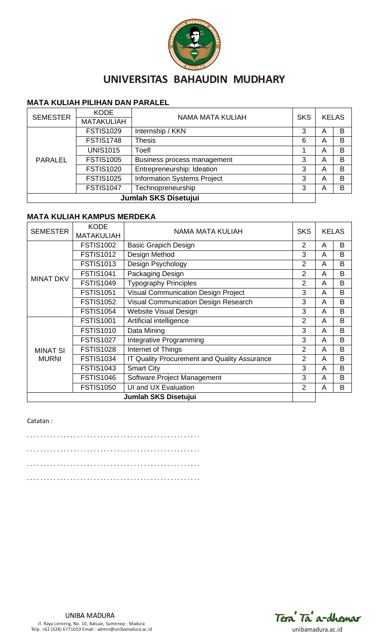

### **MATA KULIAH PILIHAN DAN PARALEL**

| <b>SEMESTER</b>      | <b>KODE</b>       | NAMA MATA KULIAH                   |            |   | <b>KELAS</b> |
|----------------------|-------------------|------------------------------------|------------|---|--------------|
|                      | <b>MATAKULIAH</b> |                                    | <b>SKS</b> |   |              |
|                      | <b>FSTIS1029</b>  | Internship / KKN                   | 3          | A | B            |
|                      | <b>FSTIS1748</b>  | <b>Thesis</b>                      | 6          | A | B            |
| <b>PARALEL</b>       | <b>UNIS1015</b>   | Toefl                              |            | A | B            |
|                      | <b>FSTIS1005</b>  | Business process management        | 3          | A | B            |
|                      | <b>FSTIS1020</b>  | Entrepreneurship: Ideation         | 3          | A | B            |
|                      | <b>FSTIS1025</b>  | <b>Information Systems Project</b> | 3          | A | B            |
|                      | <b>FSTIS1047</b>  | Technopreneurship                  | 3          | A | B            |
| Jumlah SKS Disetujui |                   |                                    |            |   |              |

### **MATA KULIAH KAMPUS MERDEKA**

| <b>SEMESTER</b>             | <b>KODE</b><br><b>MATAKULIAH</b> | <b>SKS</b><br><b>NAMA MATA KULIAH</b>        |                |   | <b>KELAS</b> |
|-----------------------------|----------------------------------|----------------------------------------------|----------------|---|--------------|
|                             | <b>FSTIS1002</b>                 |                                              | 2              | A | B            |
|                             |                                  | <b>Basic Grapich Design</b>                  |                |   |              |
|                             | <b>FSTIS1012</b>                 | Design Method                                | 3              | A | B            |
|                             | <b>FSTIS1013</b>                 | Design Psychology                            | $\overline{2}$ | A | B            |
| <b>MINAT DKV</b>            | <b>FSTIS1041</b>                 | Packaging Design                             | $\overline{2}$ | A | B            |
|                             | <b>FSTIS1049</b>                 | <b>Typography Principles</b>                 | $\overline{2}$ | A | B            |
|                             | <b>FSTIS1051</b>                 | <b>Visual Communication Design Project</b>   | 3              | A | B            |
|                             | <b>FSTIS1052</b>                 | Visual Communication Design Research         | 3              | A | B            |
|                             | <b>FSTIS1054</b>                 | <b>Website Visual Design</b>                 | 3              | A | B            |
|                             | <b>FSTIS1001</b>                 | Artificial intelligence                      | $\overline{2}$ | A | B            |
|                             | <b>FSTIS1010</b>                 | Data Mining                                  | 3              | A | B            |
|                             | <b>FSTIS1027</b>                 | Integrative Programming                      | 3              | A | B            |
| <b>MINAT SI</b>             | <b>FSTIS1028</b>                 | Internet of Things                           | $\overline{2}$ | A | B            |
| <b>MURNI</b>                | <b>FSTIS1034</b>                 | IT Quality Procurement and Quality Assurance | $\overline{2}$ | A | B            |
|                             | <b>FSTIS1043</b>                 | <b>Smart City</b>                            | 3              | A | B            |
|                             | <b>FSTIS1046</b>                 | Software Project Management                  | 3              | A | B            |
|                             | <b>FSTIS1050</b>                 | UI and UX Evaluation                         | $\overline{2}$ | A | B            |
| <b>Jumlah SKS Disetujui</b> |                                  |                                              |                |   |              |

#### Catatan :

. . . . . . . . . . . . . . . . . . . . . . . . . . . . . . . . . . . . . . . . . . . . . . . . . . . . . . . . . . . . . . . . . . . . . . . . . . . . . . . . . . . . . . . . . . . . . . . . . . . . . . . . . . . . . . . . . . . . . . . . . . . . . . . . . . . . . . . . . . . . . . . . . . . . . . . . . . . . . . . . . . . . . . . . . . . . . . . . . . . . . . . . . . . . . . . . . . . . . . . . . . . . . . . .

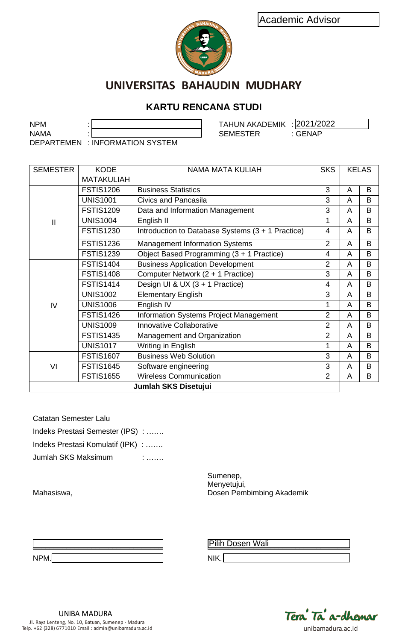

# **KARTU RENCANA STUDI**

|                              | Academic Advisor                  |                                                   |                |   |              |
|------------------------------|-----------------------------------|---------------------------------------------------|----------------|---|--------------|
|                              |                                   |                                                   |                |   |              |
|                              |                                   |                                                   |                |   |              |
|                              |                                   |                                                   |                |   |              |
|                              |                                   |                                                   |                |   |              |
|                              |                                   | UNIVERSITAS BAHAUDIN MUDHARY                      |                |   |              |
|                              |                                   |                                                   |                |   |              |
|                              |                                   | <b>KARTU RENCANA STUDI</b>                        |                |   |              |
| <b>NPM</b>                   |                                   | <b>TAHUN AKADEMIK : 2021/2022</b>                 |                |   |              |
| <b>NAMA</b>                  |                                   | : GENAP<br><b>SEMESTER</b>                        |                |   |              |
|                              | DEPARTEMEN : INFORMATION SYSTEM   |                                                   |                |   |              |
|                              |                                   |                                                   |                |   |              |
| <b>SEMESTER</b>              | <b>KODE</b>                       | <b>NAMA MATA KULIAH</b>                           | <b>SKS</b>     |   | <b>KELAS</b> |
|                              | <b>MATAKULIAH</b>                 |                                                   |                |   |              |
|                              | <b>FSTIS1206</b>                  | <b>Business Statistics</b>                        | 3              | A | B            |
|                              | <b>UNIS1001</b>                   | <b>Civics and Pancasila</b>                       | 3              | A | B            |
|                              | <b>FSTIS1209</b>                  | Data and Information Management                   | 3              | A | B            |
| $\mathbf{I}$                 | <b>UNIS1004</b>                   | English II                                        | 1              | A | B            |
|                              | <b>FSTIS1230</b>                  | Introduction to Database Systems (3 + 1 Practice) | 4              | A | B            |
|                              | <b>FSTIS1236</b>                  | <b>Management Information Systems</b>             | $\overline{2}$ | A | B            |
|                              | <b>FSTIS1239</b>                  | Object Based Programming (3 + 1 Practice)         | 4              | A | B            |
|                              | <b>FSTIS1404</b>                  | <b>Business Application Development</b>           | $\overline{2}$ | A | B            |
|                              | <b>FSTIS1408</b>                  | Computer Network (2 + 1 Practice)                 | 3              | A | B            |
|                              | <b>FSTIS1414</b>                  | Design UI & UX (3 + 1 Practice)                   | 4              | A | B            |
|                              | <b>UNIS1002</b>                   | <b>Elementary English</b>                         | 3              | A | B            |
| IV                           | <b>UNIS1006</b>                   | English IV                                        | 1              | A | B            |
|                              | <b>FSTIS1426</b>                  | <b>Information Systems Project Management</b>     | $\overline{2}$ | A | $\sf B$      |
|                              | <b>UNIS1009</b>                   | Innovative Collaborative                          | 2              | A | B            |
|                              | <b>FSTIS1435</b>                  | Management and Organization                       | $\overline{2}$ | A | B            |
|                              | <b>UNIS1017</b>                   | Writing in English                                | 1              | A | B            |
|                              | <b>FSTIS1607</b>                  | <b>Business Web Solution</b>                      | 3              | A | B            |
| VI                           | <b>FSTIS1645</b>                  | Software engineering                              | 3              | A | B            |
|                              | <b>FSTIS1655</b>                  | <b>Wireless Communication</b>                     | $\overline{2}$ | A | B            |
|                              |                                   | Jumlah SKS Disetujui                              |                |   |              |
|                              |                                   |                                                   |                |   |              |
| <b>Catatan Semester Lalu</b> |                                   |                                                   |                |   |              |
|                              |                                   |                                                   |                |   |              |
|                              | Indeks Prestasi Semester (IPS) :  |                                                   |                |   |              |
|                              | Indeks Prestasi Komulatif (IPK) : |                                                   |                |   |              |
| Jumlah SKS Maksimum          |                                   | :                                                 |                |   |              |
|                              |                                   | Sumenep,                                          |                |   |              |
|                              |                                   | Menyetujui,                                       |                |   |              |
| Mahasiswa,                   |                                   | Dosen Pembimbing Akademik                         |                |   |              |
|                              |                                   |                                                   |                |   |              |
|                              |                                   |                                                   |                |   |              |
|                              |                                   |                                                   |                |   |              |
|                              |                                   | Pilih Dosen Wali                                  |                |   |              |

| <b>Catatan Semester Lalu</b>      |  |
|-----------------------------------|--|
| Indeks Prestasi Semester (IPS) :  |  |
| Indeks Prestasi Komulatif (IPK) : |  |
| Jumlah SKS Maksimum               |  |

| <b>NDM</b><br>1 V I<br>. |  |  |  |
|--------------------------|--|--|--|

Pilih Dosen Wali

NIK.